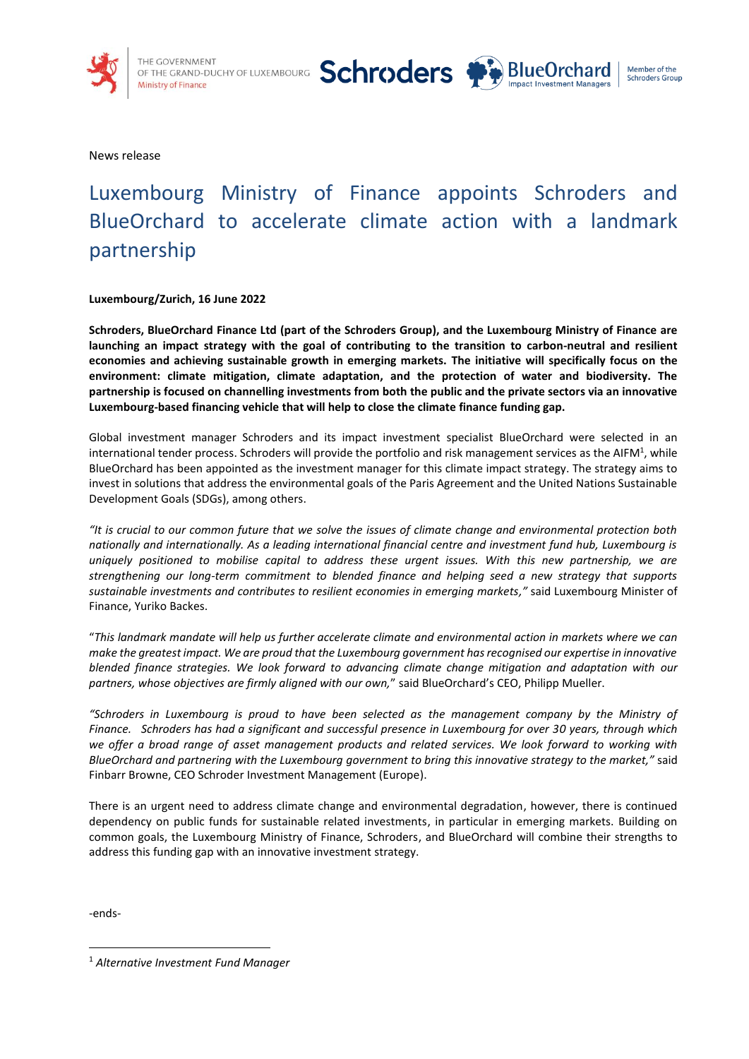



News release

# Luxembourg Ministry of Finance appoints Schroders and BlueOrchard to accelerate climate action with a landmark partnership

**Luxembourg/Zurich, 16 June 2022**

**Schroders, BlueOrchard Finance Ltd (part of the Schroders Group), and the Luxembourg Ministry of Finance are launching an impact strategy with the goal of contributing to the transition to carbon-neutral and resilient economies and achieving sustainable growth in emerging markets. The initiative will specifically focus on the environment: climate mitigation, climate adaptation, and the protection of water and biodiversity. The partnership is focused on channelling investments from both the public and the private sectors via an innovative Luxembourg-based financing vehicle that will help to close the climate finance funding gap.** 

Global investment manager Schroders and its impact investment specialist BlueOrchard were selected in an international tender process. Schroders will provide the portfolio and risk management services as the AIFM<sup>1</sup>, while BlueOrchard has been appointed as the investment manager for this climate impact strategy. The strategy aims to invest in solutions that address the environmental goals of the Paris Agreement and the United Nations Sustainable Development Goals (SDGs), among others.

*"It is crucial to our common future that we solve the issues of climate change and environmental protection both nationally and internationally. As a leading international financial centre and investment fund hub, Luxembourg is uniquely positioned to mobilise capital to address these urgent issues. With this new partnership, we are strengthening our long-term commitment to blended finance and helping seed a new strategy that supports sustainable investments and contributes to resilient economies in emerging markets,"* said Luxembourg Minister of Finance, Yuriko Backes.

"*This landmark mandate will help us further accelerate climate and environmental action in markets where we can make the greatest impact. We are proud that the Luxembourg government has recognised our expertise in innovative blended finance strategies. We look forward to advancing climate change mitigation and adaptation with our partners, whose objectives are firmly aligned with our own,*" said BlueOrchard's CEO, Philipp Mueller.

*"Schroders in Luxembourg is proud to have been selected as the management company by the Ministry of Finance. Schroders has had a significant and successful presence in Luxembourg for over 30 years, through which we offer a broad range of asset management products and related services. We look forward to working with BlueOrchard and partnering with the Luxembourg government to bring this innovative strategy to the market,"* said Finbarr Browne, CEO Schroder Investment Management (Europe).

There is an urgent need to address climate change and environmental degradation, however, there is continued dependency on public funds for sustainable related investments, in particular in emerging markets. Building on common goals, the Luxembourg Ministry of Finance, Schroders, and BlueOrchard will combine their strengths to address this funding gap with an innovative investment strategy.

-ends-

<sup>1</sup> *Alternative Investment Fund Manager*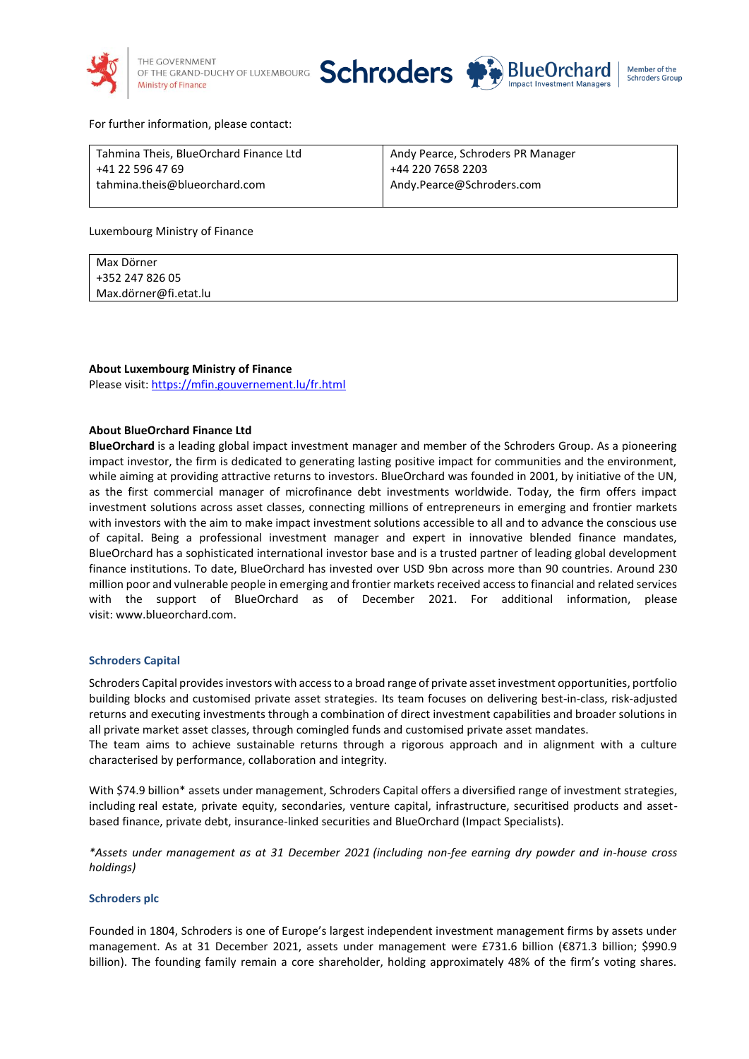



## For further information, please contact:

| Tahmina Theis, BlueOrchard Finance Ltd | Andy Pearce, Schroders PR Manager |
|----------------------------------------|-----------------------------------|
| +41 22 596 47 69                       | +44 220 7658 2203                 |
| tahmina.theis@blueorchard.com          | Andy.Pearce@Schroders.com         |

Luxembourg Ministry of Finance

| Max Dörner            |  |
|-----------------------|--|
| +352 247 826 05       |  |
| Max.dörner@fi.etat.lu |  |

#### **About Luxembourg Ministry of Finance**

Please visit: <https://mfin.gouvernement.lu/fr.html>

#### **About BlueOrchard Finance Ltd**

**BlueOrchard** is a leading global impact investment manager and member of the Schroders Group. As a pioneering impact investor, the firm is dedicated to generating lasting positive impact for communities and the environment, while aiming at providing attractive returns to investors. BlueOrchard was founded in 2001, by initiative of the UN, as the first commercial manager of microfinance debt investments worldwide. Today, the firm offers impact investment solutions across asset classes, connecting millions of entrepreneurs in emerging and frontier markets with investors with the aim to make impact investment solutions accessible to all and to advance the conscious use of capital. Being a professional investment manager and expert in innovative blended finance mandates, BlueOrchard has a sophisticated international investor base and is a trusted partner of leading global development finance institutions. To date, BlueOrchard has invested over USD 9bn across more than 90 countries. Around 230 million poor and vulnerable people in emerging and frontier markets received access to financial and related services with the support of BlueOrchard as of December 2021. For additional information, please visit: [www.blueorchard.com.](http://www.blueorchard.com/)

#### **Schroders Capital**

Schroders Capital providesinvestors with access to a broad range of private asset investment opportunities, portfolio building blocks and customised private asset strategies. Its team focuses on delivering best-in-class, risk-adjusted returns and executing investments through a combination of direct investment capabilities and broader solutions in all private market asset classes, through comingled funds and customised private asset mandates.

The team aims to achieve sustainable returns through a rigorous approach and in alignment with a culture characterised by performance, collaboration and integrity.

With \$74.9 billion\* assets under management, Schroders Capital offers a diversified range of investment strategies, including real estate, private equity, secondaries, venture capital, infrastructure, securitised products and assetbased finance, private debt, insurance-linked securities and BlueOrchard (Impact Specialists).

*\*Assets under management as at 31 December 2021 (including non-fee earning dry powder and in-house cross holdings)* 

## **Schroders plc**

Founded in 1804, Schroders is one of Europe's largest independent investment management firms by assets under management. As at 31 December 2021, assets under management were £731.6 billion (€871.3 billion; \$990.9 billion). The founding family remain a core shareholder, holding approximately 48% of the firm's voting shares.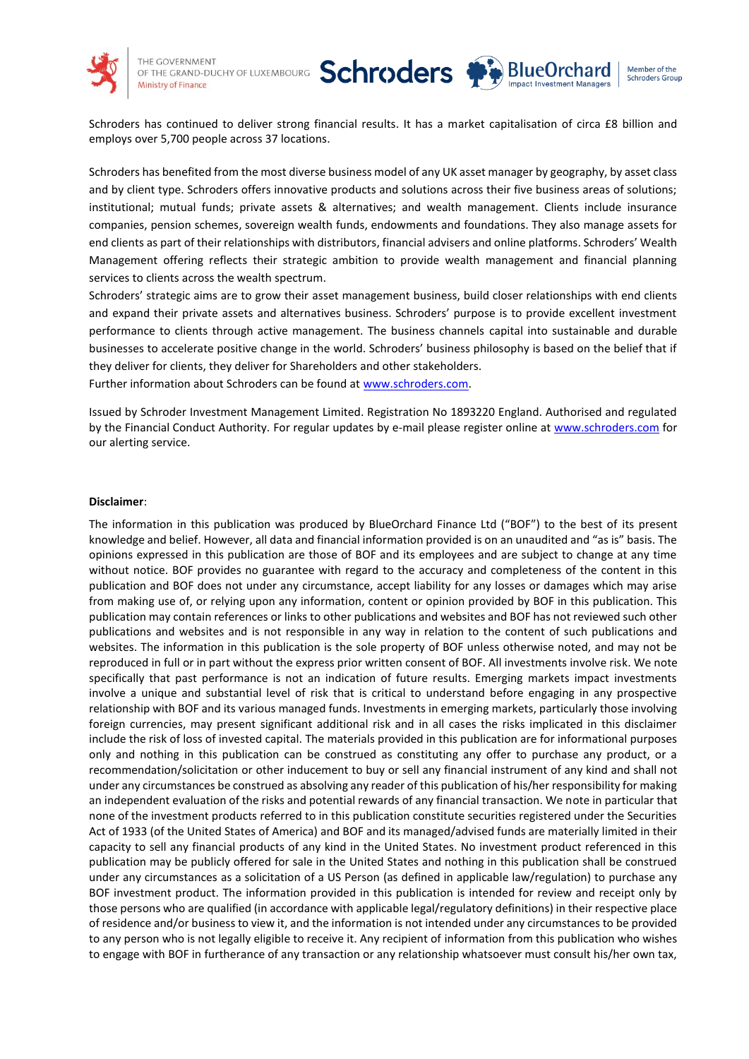

THE GOVERNMENT OF THE GRAND-DUCHY OF LUXEMBOURG **Ministry of Finance** 



Schroders has continued to deliver strong financial results. It has a market capitalisation of circa £8 billion and employs over 5,700 people across 37 locations.

Schroders has benefited from the most diverse business model of any UK asset manager by geography, by asset class and by client type. Schroders offers innovative products and solutions across their five business areas of solutions; institutional; mutual funds; private assets & alternatives; and wealth management. Clients include insurance companies, pension schemes, sovereign wealth funds, endowments and foundations. They also manage assets for end clients as part of their relationships with distributors, financial advisers and online platforms. Schroders' Wealth Management offering reflects their strategic ambition to provide wealth management and financial planning services to clients across the wealth spectrum.

Schroders' strategic aims are to grow their asset management business, build closer relationships with end clients and expand their private assets and alternatives business. Schroders' purpose is to provide excellent investment performance to clients through active management. The business channels capital into sustainable and durable businesses to accelerate positive change in the world. Schroders' business philosophy is based on the belief that if they deliver for clients, they deliver for Shareholders and other stakeholders.

Further information about Schroders can be found at [www.schroders.com.](http://www.schroders.com/) 

Issued by Schroder Investment Management Limited. Registration No 1893220 England. Authorised and regulated by the Financial Conduct Authority. For regular updates by e-mail please register online a[t www.schroders.com](http://www.schroders.com/) for our alerting service.

# **Disclaimer**:

The information in this publication was produced by BlueOrchard Finance Ltd ("BOF") to the best of its present knowledge and belief. However, all data and financial information provided is on an unaudited and "as is" basis. The opinions expressed in this publication are those of BOF and its employees and are subject to change at any time without notice. BOF provides no guarantee with regard to the accuracy and completeness of the content in this publication and BOF does not under any circumstance, accept liability for any losses or damages which may arise from making use of, or relying upon any information, content or opinion provided by BOF in this publication. This publication may contain references or links to other publications and websites and BOF has not reviewed such other publications and websites and is not responsible in any way in relation to the content of such publications and websites. The information in this publication is the sole property of BOF unless otherwise noted, and may not be reproduced in full or in part without the express prior written consent of BOF. All investments involve risk. We note specifically that past performance is not an indication of future results. Emerging markets impact investments involve a unique and substantial level of risk that is critical to understand before engaging in any prospective relationship with BOF and its various managed funds. Investments in emerging markets, particularly those involving foreign currencies, may present significant additional risk and in all cases the risks implicated in this disclaimer include the risk of loss of invested capital. The materials provided in this publication are for informational purposes only and nothing in this publication can be construed as constituting any offer to purchase any product, or a recommendation/solicitation or other inducement to buy or sell any financial instrument of any kind and shall not under any circumstances be construed as absolving any reader of this publication of his/her responsibility for making an independent evaluation of the risks and potential rewards of any financial transaction. We note in particular that none of the investment products referred to in this publication constitute securities registered under the Securities Act of 1933 (of the United States of America) and BOF and its managed/advised funds are materially limited in their capacity to sell any financial products of any kind in the United States. No investment product referenced in this publication may be publicly offered for sale in the United States and nothing in this publication shall be construed under any circumstances as a solicitation of a US Person (as defined in applicable law/regulation) to purchase any BOF investment product. The information provided in this publication is intended for review and receipt only by those persons who are qualified (in accordance with applicable legal/regulatory definitions) in their respective place of residence and/or business to view it, and the information is not intended under any circumstances to be provided to any person who is not legally eligible to receive it. Any recipient of information from this publication who wishes to engage with BOF in furtherance of any transaction or any relationship whatsoever must consult his/her own tax,